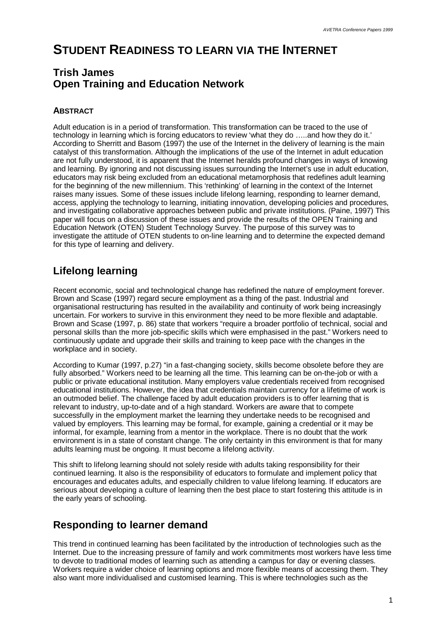# **STUDENT READINESS TO LEARN VIA THE INTERNET**

### **Trish James Open Training and Education Network**

#### **ABSTRACT**

Adult education is in a period of transformation. This transformation can be traced to the use of technology in learning which is forcing educators to review 'what they do … ..and how they do it.' According to Sherritt and Basom (1997) the use of the Internet in the delivery of learning is the main catalyst of this transformation. Although the implications of the use of the Internet in adult education are not fully understood, it is apparent that the Internet heralds profound changes in ways of knowing and learning. By ignoring and not discussing issues surrounding the Internet's use in adult education, educators may risk being excluded from an educational metamorphosis that redefines adult learning for the beginning of the new millennium. This 'rethinking' of learning in the context of the Internet raises many issues. Some of these issues include lifelong learning, responding to learner demand, access, applying the technology to learning, initiating innovation, developing policies and procedures, and investigating collaborative approaches between public and private institutions. (Paine, 1997) This paper will focus on a discussion of these issues and provide the results of the OPEN Training and Education Network (OTEN) Student Technology Survey. The purpose of this survey was to investigate the attitude of OTEN students to on-line learning and to determine the expected demand for this type of learning and delivery.

# **Lifelong learning**

Recent economic, social and technological change has redefined the nature of employment forever. Brown and Scase (1997) regard secure employment as a thing of the past. Industrial and organisational restructuring has resulted in the availability and continuity of work being increasingly uncertain. For workers to survive in this environment they need to be more flexible and adaptable. Brown and Scase (1997, p. 86) state that workers "require a broader portfolio of technical, social and personal skills than the more job-specific skills which were emphasised in the past." Workers need to continuously update and upgrade their skills and training to keep pace with the changes in the workplace and in society.

According to Kumar (1997, p.27) "in a fast-changing society, skills become obsolete before they are fully absorbed." Workers need to be learning all the time. This learning can be on-the-job or with a public or private educational institution. Many employers value credentials received from recognised educational institutions. However, the idea that credentials maintain currency for a lifetime of work is an outmoded belief. The challenge faced by adult education providers is to offer learning that is relevant to industry, up-to-date and of a high standard. Workers are aware that to compete successfully in the employment market the learning they undertake needs to be recognised and valued by employers. This learning may be formal, for example, gaining a credential or it may be informal, for example, learning from a mentor in the workplace. There is no doubt that the work environment is in a state of constant change. The only certainty in this environment is that for many adults learning must be ongoing. It must become a lifelong activity.

This shift to lifelong learning should not solely reside with adults taking responsibility for their continued learning. It also is the responsibility of educators to formulate and implement policy that encourages and educates adults, and especially children to value lifelong learning. If educators are serious about developing a culture of learning then the best place to start fostering this attitude is in the early years of schooling.

### **Responding to learner demand**

This trend in continued learning has been facilitated by the introduction of technologies such as the Internet. Due to the increasing pressure of family and work commitments most workers have less time to devote to traditional modes of learning such as attending a campus for day or evening classes. Workers require a wider choice of learning options and more flexible means of accessing them. They also want more individualised and customised learning. This is where technologies such as the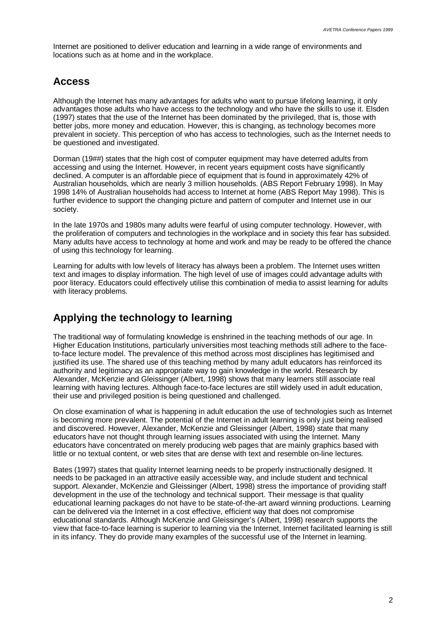Internet are positioned to deliver education and learning in a wide range of environments and locations such as at home and in the workplace.

### **Access**

Although the Internet has many advantages for adults who want to pursue lifelong learning, it only advantages those adults who have access to the technology and who have the skills to use it. Elsden (1997) states that the use of the Internet has been dominated by the privileged, that is, those with better jobs, more money and education. However, this is changing, as technology becomes more prevalent in society. This perception of who has access to technologies, such as the Internet needs to be questioned and investigated.

Dorman (19##) states that the high cost of computer equipment may have deterred adults from accessing and using the Internet. However, in recent years equipment costs have significantly declined. A computer is an affordable piece of equipment that is found in approximately 42% of Australian households, which are nearly 3 million households. (ABS Report February 1998). In May 1998 14% of Australian households had access to Internet at home (ABS Report May 1998). This is further evidence to support the changing picture and pattern of computer and Internet use in our society.

In the late 1970s and 1980s many adults were fearful of using computer technology. However, with the proliferation of computers and technologies in the workplace and in society this fear has subsided. Many adults have access to technology at home and work and may be ready to be offered the chance of using this technology for learning.

Learning for adults with low levels of literacy has always been a problem. The Internet uses written text and images to display information. The high level of use of images could advantage adults with poor literacy. Educators could effectively utilise this combination of media to assist learning for adults with literacy problems.

## **Applying the technology to learning**

The traditional way of formulating knowledge is enshrined in the teaching methods of our age. In Higher Education Institutions, particularly universities most teaching methods still adhere to the faceto-face lecture model. The prevalence of this method across most disciplines has legitimised and justified its use. The shared use of this teaching method by many adult educators has reinforced its authority and legitimacy as an appropriate way to gain knowledge in the world. Research by Alexander, McKenzie and Gleissinger (Albert, 1998) shows that many learners still associate real learning with having lectures. Although face-to-face lectures are still widely used in adult education, their use and privileged position is being questioned and challenged.

On close examination of what is happening in adult education the use of technologies such as Internet is becoming more prevalent. The potential of the Internet in adult learning is only just being realised and discovered. However, Alexander, McKenzie and Gleissinger (Albert, 1998) state that many educators have not thought through learning issues associated with using the Internet. Many educators have concentrated on merely producing web pages that are mainly graphics based with little or no textual content, or web sites that are dense with text and resemble on-line lectures.

Bates (1997) states that quality Internet learning needs to be properly instructionally designed. It needs to be packaged in an attractive easily accessible way, and include student and technical support. Alexander, McKenzie and Gleissinger (Albert, 1998) stress the importance of providing staff development in the use of the technology and technical support. Their message is that quality educational learning packages do not have to be state-of-the-art award winning productions. Learning can be delivered via the Internet in a cost effective, efficient way that does not compromise educational standards. Although McKenzie and Gleissinger's (Albert, 1998) research supports the view that face-to-face learning is superior to learning via the Internet, Internet facilitated learning is still in its infancy. They do provide many examples of the successful use of the Internet in learning.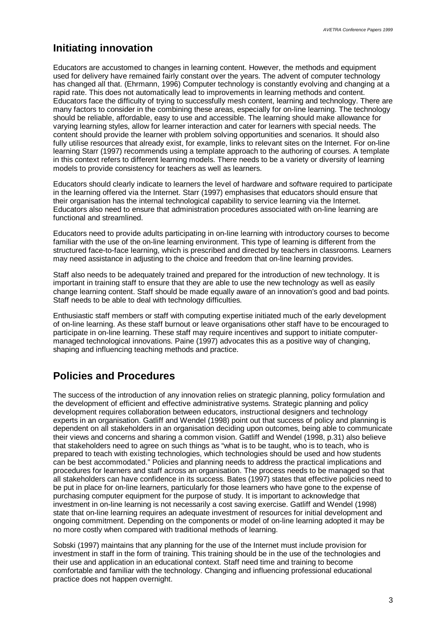#### **Initiating innovation**

Educators are accustomed to changes in learning content. However, the methods and equipment used for delivery have remained fairly constant over the years. The advent of computer technology has changed all that. (Ehrmann, 1996) Computer technology is constantly evolving and changing at a rapid rate. This does not automatically lead to improvements in learning methods and content. Educators face the difficulty of trying to successfully mesh content, learning and technology. There are many factors to consider in the combining these areas, especially for on-line learning. The technology should be reliable, affordable, easy to use and accessible. The learning should make allowance for varying learning styles, allow for learner interaction and cater for learners with special needs. The content should provide the learner with problem solving opportunities and scenarios. It should also fully utilise resources that already exist, for example, links to relevant sites on the Internet. For on-line learning Starr (1997) recommends using a template approach to the authoring of courses. A template in this context refers to different learning models. There needs to be a variety or diversity of learning models to provide consistency for teachers as well as learners.

Educators should clearly indicate to learners the level of hardware and software required to participate in the learning offered via the Internet. Starr (1997) emphasises that educators should ensure that their organisation has the internal technological capability to service learning via the Internet. Educators also need to ensure that administration procedures associated with on-line learning are functional and streamlined.

Educators need to provide adults participating in on-line learning with introductory courses to become familiar with the use of the on-line learning environment. This type of learning is different from the structured face-to-face learning, which is prescribed and directed by teachers in classrooms. Learners may need assistance in adjusting to the choice and freedom that on-line learning provides.

Staff also needs to be adequately trained and prepared for the introduction of new technology. It is important in training staff to ensure that they are able to use the new technology as well as easily change learning content. Staff should be made equally aware of an innovation's good and bad points. Staff needs to be able to deal with technology difficulties.

Enthusiastic staff members or staff with computing expertise initiated much of the early development of on-line learning. As these staff burnout or leave organisations other staff have to be encouraged to participate in on-line learning. These staff may require incentives and support to initiate computermanaged technological innovations. Paine (1997) advocates this as a positive way of changing, shaping and influencing teaching methods and practice.

### **Policies and Procedures**

The success of the introduction of any innovation relies on strategic planning, policy formulation and the development of efficient and effective administrative systems. Strategic planning and policy development requires collaboration between educators, instructional designers and technology experts in an organisation. Gatliff and Wendel (1998) point out that success of policy and planning is dependent on all stakeholders in an organisation deciding upon outcomes, being able to communicate their views and concerns and sharing a common vision. Gatliff and Wendel (1998, p.31) also believe that stakeholders need to agree on such things as "what is to be taught, who is to teach, who is prepared to teach with existing technologies, which technologies should be used and how students can be best accommodated." Policies and planning needs to address the practical implications and procedures for learners and staff across an organisation. The process needs to be managed so that all stakeholders can have confidence in its success. Bates (1997) states that effective policies need to be put in place for on-line learners, particularly for those learners who have gone to the expense of purchasing computer equipment for the purpose of study. It is important to acknowledge that investment in on-line learning is not necessarily a cost saving exercise. Gatliff and Wendel (1998) state that on-line learning requires an adequate investment of resources for initial development and ongoing commitment. Depending on the components or model of on-line learning adopted it may be no more costly when compared with traditional methods of learning.

Sobski (1997) maintains that any planning for the use of the Internet must include provision for investment in staff in the form of training. This training should be in the use of the technologies and their use and application in an educational context. Staff need time and training to become comfortable and familiar with the technology. Changing and influencing professional educational practice does not happen overnight.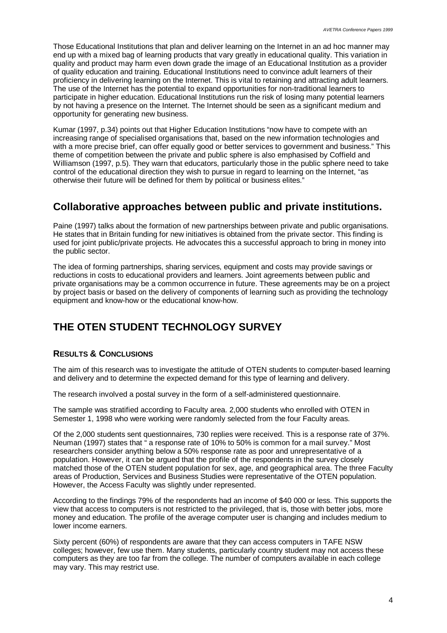Those Educational Institutions that plan and deliver learning on the Internet in an ad hoc manner may end up with a mixed bag of learning products that vary greatly in educational quality. This variation in quality and product may harm even down grade the image of an Educational Institution as a provider of quality education and training. Educational Institutions need to convince adult learners of their proficiency in delivering learning on the Internet. This is vital to retaining and attracting adult learners. The use of the Internet has the potential to expand opportunities for non-traditional learners to participate in higher education. Educational Institutions run the risk of losing many potential learners by not having a presence on the Internet. The Internet should be seen as a significant medium and opportunity for generating new business.

Kumar (1997, p.34) points out that Higher Education Institutions "now have to compete with an increasing range of specialised organisations that, based on the new information technologies and with a more precise brief, can offer equally good or better services to government and business." This theme of competition between the private and public sphere is also emphasised by Coffield and Williamson (1997, p.5). They warn that educators, particularly those in the public sphere need to take control of the educational direction they wish to pursue in regard to learning on the Internet, "as otherwise their future will be defined for them by political or business elites."

### **Collaborative approaches between public and private institutions.**

Paine (1997) talks about the formation of new partnerships between private and public organisations. He states that in Britain funding for new initiatives is obtained from the private sector. This finding is used for joint public/private projects. He advocates this a successful approach to bring in money into the public sector.

The idea of forming partnerships, sharing services, equipment and costs may provide savings or reductions in costs to educational providers and learners. Joint agreements between public and private organisations may be a common occurrence in future. These agreements may be on a project by project basis or based on the delivery of components of learning such as providing the technology equipment and know-how or the educational know-how.

# **THE OTEN STUDENT TECHNOLOGY SURVEY**

#### **RESULTS & CONCLUSIONS**

The aim of this research was to investigate the attitude of OTEN students to computer-based learning and delivery and to determine the expected demand for this type of learning and delivery.

The research involved a postal survey in the form of a self-administered questionnaire.

The sample was stratified according to Faculty area. 2,000 students who enrolled with OTEN in Semester 1, 1998 who were working were randomly selected from the four Faculty areas.

Of the 2,000 students sent questionnaires, 730 replies were received. This is a response rate of 37%. Neuman (1997) states that " a response rate of 10% to 50% is common for a mail survey." Most researchers consider anything below a 50% response rate as poor and unrepresentative of a population. However, it can be argued that the profile of the respondents in the survey closely matched those of the OTEN student population for sex, age, and geographical area. The three Faculty areas of Production, Services and Business Studies were representative of the OTEN population. However, the Access Faculty was slightly under represented.

According to the findings 79% of the respondents had an income of \$40 000 or less. This supports the view that access to computers is not restricted to the privileged, that is, those with better jobs, more money and education. The profile of the average computer user is changing and includes medium to lower income earners.

Sixty percent (60%) of respondents are aware that they can access computers in TAFE NSW colleges; however, few use them. Many students, particularly country student may not access these computers as they are too far from the college. The number of computers available in each college may vary. This may restrict use.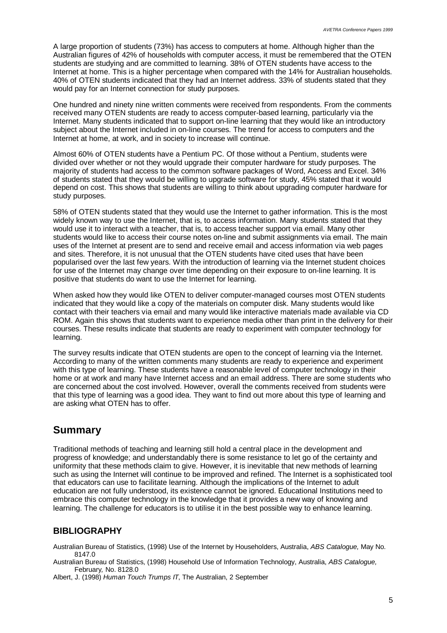A large proportion of students (73%) has access to computers at home. Although higher than the Australian figures of 42% of households with computer access, it must be remembered that the OTEN students are studying and are committed to learning. 38% of OTEN students have access to the Internet at home. This is a higher percentage when compared with the 14% for Australian households. 40% of OTEN students indicated that they had an Internet address. 33% of students stated that they would pay for an Internet connection for study purposes.

One hundred and ninety nine written comments were received from respondents. From the comments received many OTEN students are ready to access computer-based learning, particularly via the Internet. Many students indicated that to support on-line learning that they would like an introductory subject about the Internet included in on-line courses. The trend for access to computers and the Internet at home, at work, and in society to increase will continue.

Almost 60% of OTEN students have a Pentium PC. Of those without a Pentium, students were divided over whether or not they would upgrade their computer hardware for study purposes. The majority of students had access to the common software packages of Word, Access and Excel. 34% of students stated that they would be willing to upgrade software for study, 45% stated that it would depend on cost. This shows that students are willing to think about upgrading computer hardware for study purposes.

58% of OTEN students stated that they would use the Internet to gather information. This is the most widely known way to use the Internet, that is, to access information. Many students stated that they would use it to interact with a teacher, that is, to access teacher support via email. Many other students would like to access their course notes on-line and submit assignments via email. The main uses of the Internet at present are to send and receive email and access information via web pages and sites. Therefore, it is not unusual that the OTEN students have cited uses that have been popularised over the last few years. With the introduction of learning via the Internet student choices for use of the Internet may change over time depending on their exposure to on-line learning. It is positive that students do want to use the Internet for learning.

When asked how they would like OTEN to deliver computer-managed courses most OTEN students indicated that they would like a copy of the materials on computer disk. Many students would like contact with their teachers via email and many would like interactive materials made available via CD ROM. Again this shows that students want to experience media other than print in the delivery for their courses. These results indicate that students are ready to experiment with computer technology for learning.

The survey results indicate that OTEN students are open to the concept of learning via the Internet. According to many of the written comments many students are ready to experience and experiment with this type of learning. These students have a reasonable level of computer technology in their home or at work and many have Internet access and an email address. There are some students who are concerned about the cost involved. However, overall the comments received from students were that this type of learning was a good idea. They want to find out more about this type of learning and are asking what OTEN has to offer.

### **Summary**

Traditional methods of teaching and learning still hold a central place in the development and progress of knowledge; and understandably there is some resistance to let go of the certainty and uniformity that these methods claim to give. However, it is inevitable that new methods of learning such as using the Internet will continue to be improved and refined. The Internet is a sophisticated tool that educators can use to facilitate learning. Although the implications of the Internet to adult education are not fully understood, its existence cannot be ignored. Educational Institutions need to embrace this computer technology in the knowledge that it provides a new way of knowing and learning. The challenge for educators is to utilise it in the best possible way to enhance learning.

#### **BIBLIOGRAPHY**

Australian Bureau of Statistics, (1998) Use of the Internet by Householders, Australia, *ABS Catalogue,* May No. 8147.0

Australian Bureau of Statistics, (1998) Household Use of Information Technology, Australia, *ABS Catalogue,* February*,* No. 8128.0

Albert, J. (1998) *Human Touch Trumps IT*, The Australian, 2 September